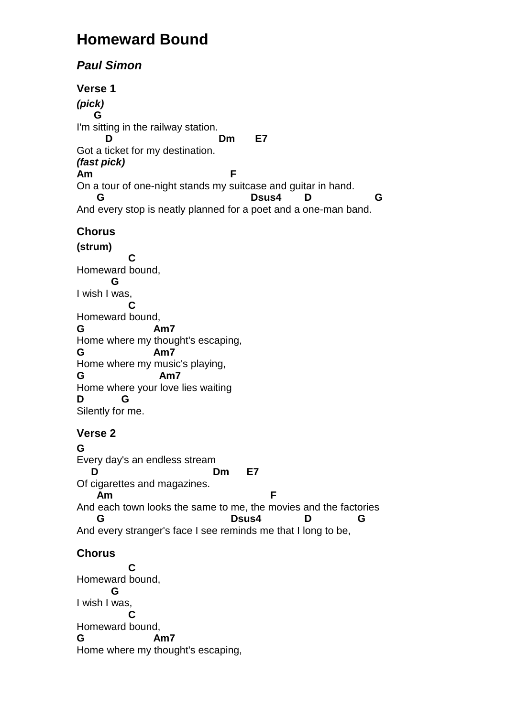## **Homeward Bound**

## **Paul Simon**

**Verse 1 (pick) G**  I'm sitting in the railway station. **D** D Dm E7 Got a ticket for my destination. **(fast pick) Am F** On a tour of one-night stands my suitcase and guitar in hand.  **G Dsus4 D G**  And every stop is neatly planned for a poet and a one-man band. **Chorus (strum) C**  Homeward bound,  **G**  I wish I was,  **C**  Homeward bound, **G Am7**  Home where my thought's escaping, **G Am7**  Home where my music's playing, **G Am7**  Home where your love lies waiting **D G**  Silently for me. **Verse 2 G**  Every day's an endless stream **D** Dm E7 Of cigarettes and magazines. **Am** F And each town looks the same to me, the movies and the factories  **G Dsus4 D G**  And every stranger's face I see reminds me that I long to be, **Chorus C**  Homeward bound,  **G**  I wish I was,  **C**  Homeward bound,

**G Am7**  Home where my thought's escaping,